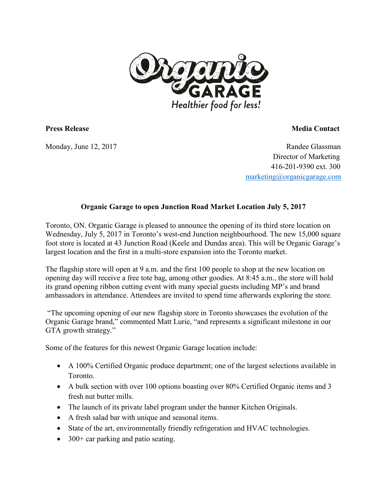

**Press Release Media Contact**

**Monday, June 12, 2017 Randee Glassman Director of Marketing 416-201-9390 ext. 300 [marketing@organicgarage.com](mailto:marketing@organicgarage.com)**

## **Organic Garage to open Junction Road Market Location July 5, 2017**

**Toronto, ON. Organic Garage is pleased to announce the opening of its third store location on Wednesday, July 5, 2017 in Toronto's west-end Junction neighbourhood. The new 15,000 square foot store is located at 43 Junction Road (Keele and Dundas area). This will be Organic Garage's largest location and the first in a multi-store expansion into the Toronto market.** 

**The flagship store will open at 9 a.m. and the first 100 people to shop at the new location on opening day will receive a free tote bag, among other goodies. At 8:45 a.m., the store will hold its grand opening ribbon cutting event with many special guests including MP's and brand ambassadors in attendance. Attendees are invited to spend time afterwards exploring the store.**

**"The upcoming opening of our new flagship store in Toronto showcases the evolution of the Organic Garage brand," commented Matt Lurie, "and represents a significant milestone in our GTA growth strategy."** 

**Some of the features for this newest Organic Garage location include:** 

- **A 100% Certified Organic produce department; one of the largest selections available in Toronto.**
- **A bulk section with over 100 options boasting over 80% Certified Organic items and 3 fresh nut butter mills.**
- **The launch of its private label program under the banner Kitchen Originals.**
- **A fresh salad bar with unique and seasonal items.**
- **State of the art, environmentally friendly refrigeration and HVAC technologies.**
- **300+ car parking and patio seating.**